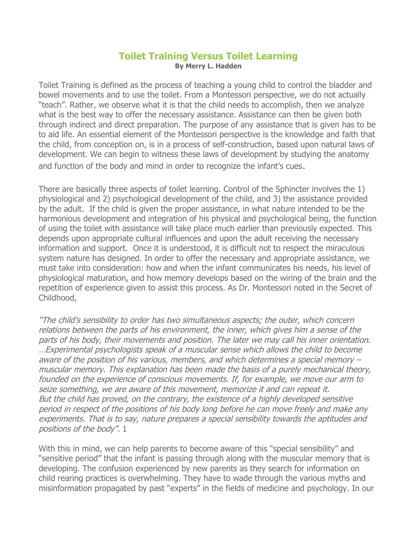### **Toilet Training Versus Toilet Learning By Merry L. Hadden**

Toilet Training is defined as the process of teaching a young child to control the bladder and bowel movements and to use the toilet. From a Montessori perspective, we do not actually "teach". Rather, we observe what it is that the child needs to accomplish, then we analyze what is the best way to offer the necessary assistance. Assistance can then be given both through indirect and direct preparation. The purpose of any assistance that is given has to be to aid life. An essential element of the Montessori perspective is the knowledge and faith that the child, from conception on, is in a process of self-construction, based upon natural laws of development. We can begin to witness these laws of development by studying the anatomy and function of the body and mind in order to recognize the infant's cues.

There are basically three aspects of toilet learning. Control of the Sphincter involves the 1) physiological and 2) psychological development of the child, and 3) the assistance provided by the adult. If the child is given the proper assistance, in what nature intended to be the harmonious development and integration of his physical and psychological being, the function of using the toilet with assistance will take place much earlier than previously expected. This depends upon appropriate cultural influences and upon the adult receiving the necessary information and support. Once it is understood, it is difficult not to respect the miraculous system nature has designed. In order to offer the necessary and appropriate assistance, we must take into consideration: how and when the infant communicates his needs, his level of physiological maturation, and how memory develops based on the wiring of the brain and the repetition of experience given to assist this process. As Dr. Montessori noted in the Secret of Childhood,

"The child's sensibility to order has two simultaneous aspects; the outer, which concern relations between the parts of his environment, the inner, which gives him a sense of the parts of his body, their movements and position. The later we may call his inner orientation. …Experimental psychologists speak of a muscular sense which allows the child to become aware of the position of his various, members, and which determines a special memory – muscular memory. This explanation has been made the basis of a purely mechanical theory, founded on the experience of conscious movements. If, for example, we move our arm to seize something, we are aware of this movement, memorize it and can repeat it. But the child has proved, on the contrary, the existence of a highly developed sensitive period in respect of the positions of his body long before he can move freely and make any experiments. That is to say, nature prepares a special sensibility towards the aptitudes and positions of the body". 1

With this in mind, we can help parents to become aware of this "special sensibility" and "sensitive period" that the infant is passing through along with the muscular memory that is developing. The confusion experienced by new parents as they search for information on child rearing practices is overwhelming. They have to wade through the various myths and misinformation propagated by past "experts" in the fields of medicine and psychology. In our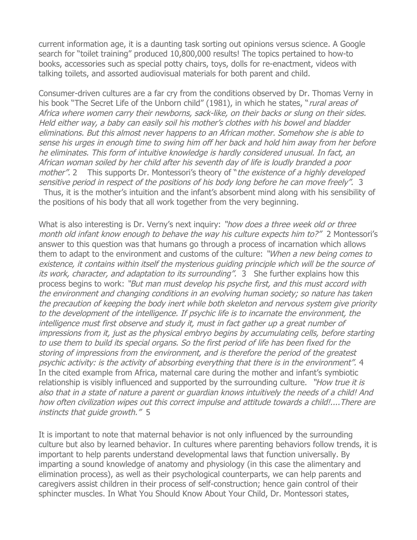current information age, it is a daunting task sorting out opinions versus science. A Google search for "toilet training" produced 10,800,000 results! The topics pertained to how-to books, accessories such as special potty chairs, toys, dolls for re-enactment, videos with talking toilets, and assorted audiovisual materials for both parent and child.

Consumer-driven cultures are a far cry from the conditions observed by Dr. Thomas Verny in his book "The Secret Life of the Unborn child" (1981), in which he states, "*rural areas of* Africa where women carry their newborns, sack-like, on their backs or slung on their sides. Held either way, a baby can easily soil his mother's clothes with his bowel and bladder eliminations. But this almost never happens to an African mother. Somehow she is able to sense his urges in enough time to swing him off her back and hold him away from her before he eliminates. This form of intuitive knowledge is hardly considered unusual. In fact, an African woman soiled by her child after his seventh day of life is loudly branded a poor mother". 2 This supports Dr. Montessori's theory of "the existence of a highly developed sensitive period in respect of the positions of his body long before he can move freely". 3 Thus, it is the mother's intuition and the infant's absorbent mind along with his sensibility of

the positions of his body that all work together from the very beginning.

What is also interesting is Dr. Verny's next inquiry: "how does a three week old or three month old infant know enough to behave the way his culture expects him to?" 2 Montessori's answer to this question was that humans go through a process of incarnation which allows them to adapt to the environment and customs of the culture: "When a new being comes to existence, it contains within itself the mysterious guiding principle which will be the source of its work, character, and adaptation to its surrounding". 3 She further explains how this process begins to work: "But man must develop his psyche first, and this must accord with the environment and changing conditions in an evolving human society; so nature has taken the precaution of keeping the body inert while both skeleton and nervous system give priority to the development of the intelligence. If psychic life is to incarnate the environment, the intelligence must first observe and study it, must in fact gather up a great number of impressions from it, just as the physical embryo begins by accumulating cells, before starting to use them to build its special organs. So the first period of life has been fixed for the storing of impressions from the environment, and is therefore the period of the greatest psychic activity: is the activity of absorbing everything that there is in the environment". 4 In the cited example from Africa, maternal care during the mother and infant's symbiotic relationship is visibly influenced and supported by the surrounding culture. "How true it is also that in a state of nature a parent or guardian knows intuitively the needs of a child! And how often civilization wipes out this correct impulse and attitude towards a child!....There are instincts that guide growth." 5

It is important to note that maternal behavior is not only influenced by the surrounding culture but also by learned behavior. In cultures where parenting behaviors follow trends, it is important to help parents understand developmental laws that function universally. By imparting a sound knowledge of anatomy and physiology (in this case the alimentary and elimination process), as well as their psychological counterparts, we can help parents and caregivers assist children in their process of self-construction; hence gain control of their sphincter muscles. In What You Should Know About Your Child, Dr. Montessori states,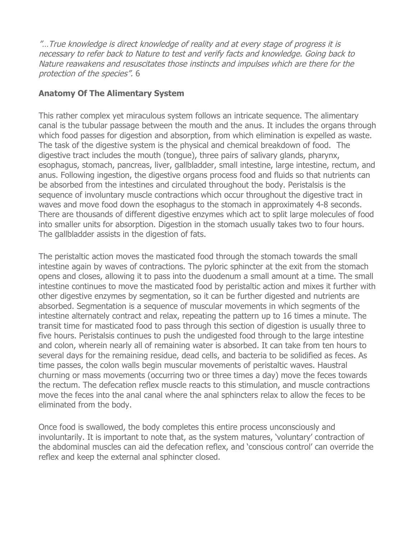"…True knowledge is direct knowledge of reality and at every stage of progress it is necessary to refer back to Nature to test and verify facts and knowledge. Going back to Nature reawakens and resuscitates those instincts and impulses which are there for the protection of the species". 6

# **Anatomy Of The Alimentary System**

This rather complex yet miraculous system follows an intricate sequence. The alimentary canal is the tubular passage between the mouth and the anus. It includes the organs through which food passes for digestion and absorption, from which elimination is expelled as waste. The task of the digestive system is the physical and chemical breakdown of food. The digestive tract includes the mouth (tongue), three pairs of salivary glands, pharynx, esophagus, stomach, pancreas, liver, gallbladder, small intestine, large intestine, rectum, and anus. Following ingestion, the digestive organs process food and fluids so that nutrients can be absorbed from the intestines and circulated throughout the body. Peristalsis is the sequence of involuntary muscle contractions which occur throughout the digestive tract in waves and move food down the esophagus to the stomach in approximately 4-8 seconds. There are thousands of different digestive enzymes which act to split large molecules of food into smaller units for absorption. Digestion in the stomach usually takes two to four hours. The gallbladder assists in the digestion of fats.

The peristaltic action moves the masticated food through the stomach towards the small intestine again by waves of contractions. The pyloric sphincter at the exit from the stomach opens and closes, allowing it to pass into the duodenum a small amount at a time. The small intestine continues to move the masticated food by peristaltic action and mixes it further with other digestive enzymes by segmentation, so it can be further digested and nutrients are absorbed. Segmentation is a sequence of muscular movements in which segments of the intestine alternately contract and relax, repeating the pattern up to 16 times a minute. The transit time for masticated food to pass through this section of digestion is usually three to five hours. Peristalsis continues to push the undigested food through to the large intestine and colon, wherein nearly all of remaining water is absorbed. It can take from ten hours to several days for the remaining residue, dead cells, and bacteria to be solidified as feces. As time passes, the colon walls begin muscular movements of peristaltic waves. Haustral churning or mass movements (occurring two or three times a day) move the feces towards the rectum. The defecation reflex muscle reacts to this stimulation, and muscle contractions move the feces into the anal canal where the anal sphincters relax to allow the feces to be eliminated from the body.

Once food is swallowed, the body completes this entire process unconsciously and involuntarily. It is important to note that, as the system matures, 'voluntary' contraction of the abdominal muscles can aid the defecation reflex, and 'conscious control' can override the reflex and keep the external anal sphincter closed.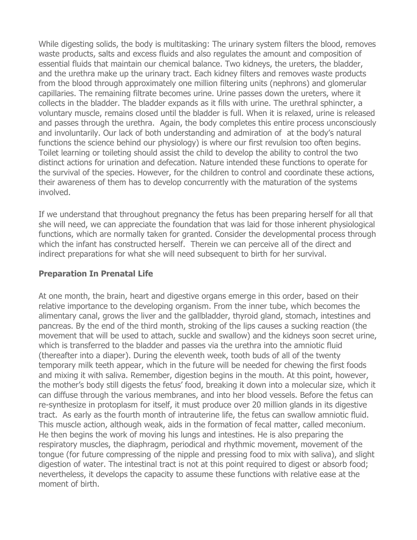While digesting solids, the body is multitasking: The urinary system filters the blood, removes waste products, salts and excess fluids and also regulates the amount and composition of essential fluids that maintain our chemical balance. Two kidneys, the ureters, the bladder, and the urethra make up the urinary tract. Each kidney filters and removes waste products from the blood through approximately one million filtering units (nephrons) and glomerular capillaries. The remaining filtrate becomes urine. Urine passes down the ureters, where it collects in the bladder. The bladder expands as it fills with urine. The urethral sphincter, a voluntary muscle, remains closed until the bladder is full. When it is relaxed, urine is released and passes through the urethra. Again, the body completes this entire process unconsciously and involuntarily. Our lack of both understanding and admiration of at the body's natural functions the science behind our physiology) is where our first revulsion too often begins. Toilet learning or toileting should assist the child to develop the ability to control the two distinct actions for urination and defecation. Nature intended these functions to operate for the survival of the species. However, for the children to control and coordinate these actions, their awareness of them has to develop concurrently with the maturation of the systems involved.

If we understand that throughout pregnancy the fetus has been preparing herself for all that she will need, we can appreciate the foundation that was laid for those inherent physiological functions, which are normally taken for granted. Consider the developmental process through which the infant has constructed herself. Therein we can perceive all of the direct and indirect preparations for what she will need subsequent to birth for her survival.

#### **Preparation In Prenatal Life**

At one month, the brain, heart and digestive organs emerge in this order, based on their relative importance to the developing organism. From the inner tube, which becomes the alimentary canal, grows the liver and the gallbladder, thyroid gland, stomach, intestines and pancreas. By the end of the third month, stroking of the lips causes a sucking reaction (the movement that will be used to attach, suckle and swallow) and the kidneys soon secret urine, which is transferred to the bladder and passes via the urethra into the amniotic fluid (thereafter into a diaper). During the eleventh week, tooth buds of all of the twenty temporary milk teeth appear, which in the future will be needed for chewing the first foods and mixing it with saliva. Remember, digestion begins in the mouth. At this point, however, the mother's body still digests the fetus' food, breaking it down into a molecular size, which it can diffuse through the various membranes, and into her blood vessels. Before the fetus can re-synthesize in protoplasm for itself, it must produce over 20 million glands in its digestive tract. As early as the fourth month of intrauterine life, the fetus can swallow amniotic fluid. This muscle action, although weak, aids in the formation of fecal matter, called meconium. He then begins the work of moving his lungs and intestines. He is also preparing the respiratory muscles, the diaphragm, periodical and rhythmic movement, movement of the tongue (for future compressing of the nipple and pressing food to mix with saliva), and slight digestion of water. The intestinal tract is not at this point required to digest or absorb food; nevertheless, it develops the capacity to assume these functions with relative ease at the moment of birth.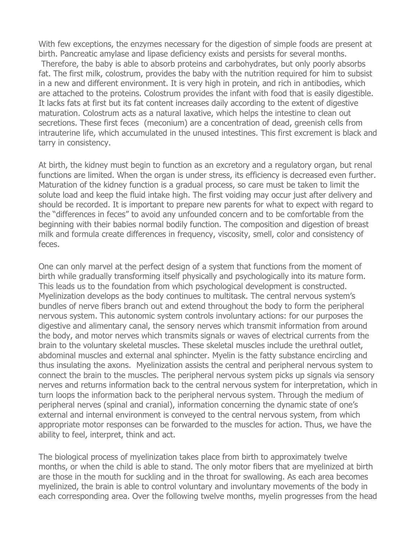With few exceptions, the enzymes necessary for the digestion of simple foods are present at birth. Pancreatic amylase and lipase deficiency exists and persists for several months. Therefore, the baby is able to absorb proteins and carbohydrates, but only poorly absorbs fat. The first milk, colostrum, provides the baby with the nutrition required for him to subsist in a new and different environment. It is very high in protein, and rich in antibodies, which are attached to the proteins. Colostrum provides the infant with food that is easily digestible. It lacks fats at first but its fat content increases daily according to the extent of digestive maturation. Colostrum acts as a natural laxative, which helps the intestine to clean out secretions. These first feces (meconium) are a concentration of dead, greenish cells from intrauterine life, which accumulated in the unused intestines. This first excrement is black and tarry in consistency.

At birth, the kidney must begin to function as an excretory and a regulatory organ, but renal functions are limited. When the organ is under stress, its efficiency is decreased even further. Maturation of the kidney function is a gradual process, so care must be taken to limit the solute load and keep the fluid intake high. The first voiding may occur just after delivery and should be recorded. It is important to prepare new parents for what to expect with regard to the "differences in feces" to avoid any unfounded concern and to be comfortable from the beginning with their babies normal bodily function. The composition and digestion of breast milk and formula create differences in frequency, viscosity, smell, color and consistency of feces.

One can only marvel at the perfect design of a system that functions from the moment of birth while gradually transforming itself physically and psychologically into its mature form. This leads us to the foundation from which psychological development is constructed. Myelinization develops as the body continues to multitask. The central nervous system's bundles of nerve fibers branch out and extend throughout the body to form the peripheral nervous system. This autonomic system controls involuntary actions: for our purposes the digestive and alimentary canal, the sensory nerves which transmit information from around the body, and motor nerves which transmits signals or waves of electrical currents from the brain to the voluntary skeletal muscles. These skeletal muscles include the urethral outlet, abdominal muscles and external anal sphincter. Myelin is the fatty substance encircling and thus insulating the axons. Myelinization assists the central and peripheral nervous system to connect the brain to the muscles. The peripheral nervous system picks up signals via sensory nerves and returns information back to the central nervous system for interpretation, which in turn loops the information back to the peripheral nervous system. Through the medium of peripheral nerves (spinal and cranial), information concerning the dynamic state of one's external and internal environment is conveyed to the central nervous system, from which appropriate motor responses can be forwarded to the muscles for action. Thus, we have the ability to feel, interpret, think and act.

The biological process of myelinization takes place from birth to approximately twelve months, or when the child is able to stand. The only motor fibers that are myelinized at birth are those in the mouth for suckling and in the throat for swallowing. As each area becomes myelinized, the brain is able to control voluntary and involuntary movements of the body in each corresponding area. Over the following twelve months, myelin progresses from the head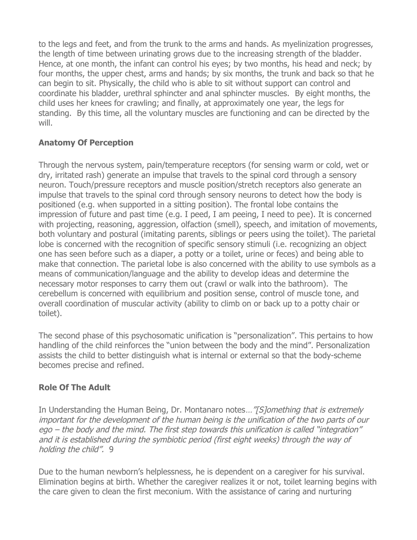to the legs and feet, and from the trunk to the arms and hands. As myelinization progresses, the length of time between urinating grows due to the increasing strength of the bladder. Hence, at one month, the infant can control his eyes; by two months, his head and neck; by four months, the upper chest, arms and hands; by six months, the trunk and back so that he can begin to sit. Physically, the child who is able to sit without support can control and coordinate his bladder, urethral sphincter and anal sphincter muscles. By eight months, the child uses her knees for crawling; and finally, at approximately one year, the legs for standing. By this time, all the voluntary muscles are functioning and can be directed by the will.

# **Anatomy Of Perception**

Through the nervous system, pain/temperature receptors (for sensing warm or cold, wet or dry, irritated rash) generate an impulse that travels to the spinal cord through a sensory neuron. Touch/pressure receptors and muscle position/stretch receptors also generate an impulse that travels to the spinal cord through sensory neurons to detect how the body is positioned (e.g. when supported in a sitting position). The frontal lobe contains the impression of future and past time (e.g. I peed, I am peeing, I need to pee). It is concerned with projecting, reasoning, aggression, olfaction (smell), speech, and imitation of movements, both voluntary and postural (imitating parents, siblings or peers using the toilet). The parietal lobe is concerned with the recognition of specific sensory stimuli (i.e. recognizing an object one has seen before such as a diaper, a potty or a toilet, urine or feces) and being able to make that connection. The parietal lobe is also concerned with the ability to use symbols as a means of communication/language and the ability to develop ideas and determine the necessary motor responses to carry them out (crawl or walk into the bathroom). The cerebellum is concerned with equilibrium and position sense, control of muscle tone, and overall coordination of muscular activity (ability to climb on or back up to a potty chair or toilet).

The second phase of this psychosomatic unification is "personalization". This pertains to how handling of the child reinforces the "union between the body and the mind". Personalization assists the child to better distinguish what is internal or external so that the body-scheme becomes precise and refined.

# **Role Of The Adult**

In Understanding the Human Being, Dr. Montanaro notes... "[S]omething that is extremely important for the development of the human being is the unification of the two parts of our ego – the body and the mind. The first step towards this unification is called "integration" and it is established during the symbiotic period (first eight weeks) through the way of holding the child". 9

Due to the human newborn's helplessness, he is dependent on a caregiver for his survival. Elimination begins at birth. Whether the caregiver realizes it or not, toilet learning begins with the care given to clean the first meconium. With the assistance of caring and nurturing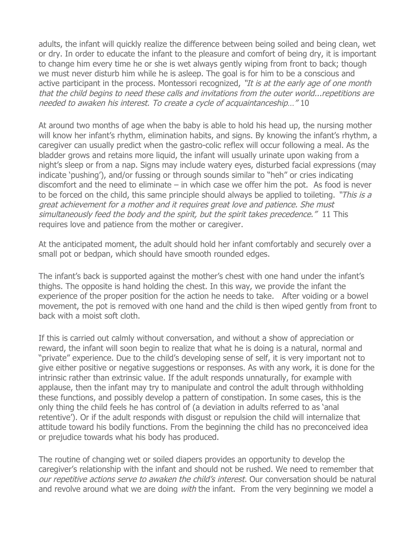adults, the infant will quickly realize the difference between being soiled and being clean, wet or dry. In order to educate the infant to the pleasure and comfort of being dry, it is important to change him every time he or she is wet always gently wiping from front to back; though we must never disturb him while he is asleep. The goal is for him to be a conscious and active participant in the process. Montessori recognized, "It is at the early age of one month that the child begins to need these calls and invitations from the outer world...repetitions are needed to awaken his interest. To create a cycle of acquaintanceship…" 10

At around two months of age when the baby is able to hold his head up, the nursing mother will know her infant's rhythm, elimination habits, and signs. By knowing the infant's rhythm, a caregiver can usually predict when the gastro-colic reflex will occur following a meal. As the bladder grows and retains more liquid, the infant will usually urinate upon waking from a night's sleep or from a nap. Signs may include watery eyes, disturbed facial expressions (may indicate 'pushing'), and/or fussing or through sounds similar to "heh" or cries indicating discomfort and the need to eliminate  $-$  in which case we offer him the pot. As food is never to be forced on the child, this same principle should always be applied to toileting. "This is a great achievement for a mother and it requires great love and patience. She must simultaneously feed the body and the spirit, but the spirit takes precedence." 11 This requires love and patience from the mother or caregiver.

At the anticipated moment, the adult should hold her infant comfortably and securely over a small pot or bedpan, which should have smooth rounded edges.

The infant's back is supported against the mother's chest with one hand under the infant's thighs. The opposite is hand holding the chest. In this way, we provide the infant the experience of the proper position for the action he needs to take. After voiding or a bowel movement, the pot is removed with one hand and the child is then wiped gently from front to back with a moist soft cloth.

If this is carried out calmly without conversation, and without a show of appreciation or reward, the infant will soon begin to realize that what he is doing is a natural, normal and "private" experience. Due to the child's developing sense of self, it is very important not to give either positive or negative suggestions or responses. As with any work, it is done for the intrinsic rather than extrinsic value. If the adult responds unnaturally, for example with applause, then the infant may try to manipulate and control the adult through withholding these functions, and possibly develop a pattern of constipation. In some cases, this is the only thing the child feels he has control of (a deviation in adults referred to as 'anal retentive'). Or if the adult responds with disgust or repulsion the child will internalize that attitude toward his bodily functions. From the beginning the child has no preconceived idea or prejudice towards what his body has produced.

The routine of changing wet or soiled diapers provides an opportunity to develop the caregiver's relationship with the infant and should not be rushed. We need to remember that our repetitive actions serve to awaken the child's interest. Our conversation should be natural and revolve around what we are doing *with* the infant. From the very beginning we model a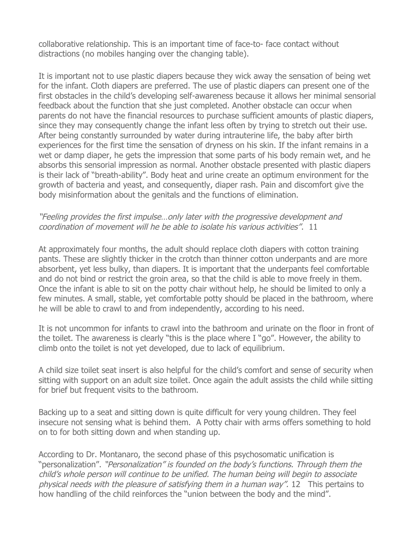collaborative relationship. This is an important time of face-to- face contact without distractions (no mobiles hanging over the changing table).

It is important not to use plastic diapers because they wick away the sensation of being wet for the infant. Cloth diapers are preferred. The use of plastic diapers can present one of the first obstacles in the child's developing self-awareness because it allows her minimal sensorial feedback about the function that she just completed. Another obstacle can occur when parents do not have the financial resources to purchase sufficient amounts of plastic diapers, since they may consequently change the infant less often by trying to stretch out their use. After being constantly surrounded by water during intrauterine life, the baby after birth experiences for the first time the sensation of dryness on his skin. If the infant remains in a wet or damp diaper, he gets the impression that some parts of his body remain wet, and he absorbs this sensorial impression as normal. Another obstacle presented with plastic diapers is their lack of "breath-ability". Body heat and urine create an optimum environment for the growth of bacteria and yeast, and consequently, diaper rash. Pain and discomfort give the body misinformation about the genitals and the functions of elimination.

#### "Feeling provides the first impulse…only later with the progressive development and coordination of movement will he be able to isolate his various activities". 11

At approximately four months, the adult should replace cloth diapers with cotton training pants. These are slightly thicker in the crotch than thinner cotton underpants and are more absorbent, yet less bulky, than diapers. It is important that the underpants feel comfortable and do not bind or restrict the groin area, so that the child is able to move freely in them. Once the infant is able to sit on the potty chair without help, he should be limited to only a few minutes. A small, stable, yet comfortable potty should be placed in the bathroom, where he will be able to crawl to and from independently, according to his need.

It is not uncommon for infants to crawl into the bathroom and urinate on the floor in front of the toilet. The awareness is clearly "this is the place where I "go". However, the ability to climb onto the toilet is not yet developed, due to lack of equilibrium.

A child size toilet seat insert is also helpful for the child's comfort and sense of security when sitting with support on an adult size toilet. Once again the adult assists the child while sitting for brief but frequent visits to the bathroom.

Backing up to a seat and sitting down is quite difficult for very young children. They feel insecure not sensing what is behind them. A Potty chair with arms offers something to hold on to for both sitting down and when standing up.

According to Dr. Montanaro, the second phase of this psychosomatic unification is "personalization". "Personalization" is founded on the body's functions. Through them the child's whole person will continue to be unified. The human being will begin to associate physical needs with the pleasure of satisfying them in a human way". 12 This pertains to how handling of the child reinforces the "union between the body and the mind".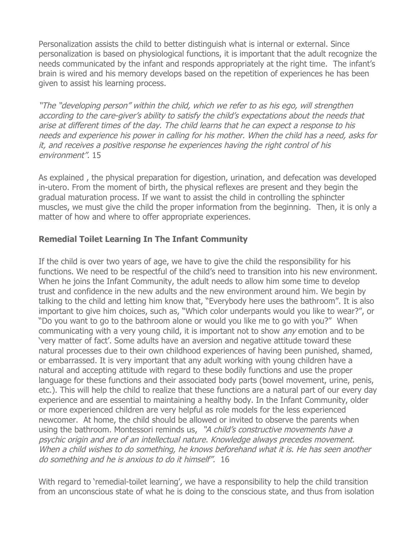Personalization assists the child to better distinguish what is internal or external. Since personalization is based on physiological functions, it is important that the adult recognize the needs communicated by the infant and responds appropriately at the right time. The infant's brain is wired and his memory develops based on the repetition of experiences he has been given to assist his learning process.

"The "developing person" within the child, which we refer to as his ego, will strengthen according to the care-giver's ability to satisfy the child's expectations about the needs that arise at different times of the day. The child learns that he can expect a response to his needs and experience his power in calling for his mother. When the child has a need, asks for it, and receives a positive response he experiences having the right control of his environment". 15

As explained , the physical preparation for digestion, urination, and defecation was developed in-utero. From the moment of birth, the physical reflexes are present and they begin the gradual maturation process. If we want to assist the child in controlling the sphincter muscles, we must give the child the proper information from the beginning. Then, it is only a matter of how and where to offer appropriate experiences.

# **Remedial Toilet Learning In The Infant Community**

If the child is over two years of age, we have to give the child the responsibility for his functions. We need to be respectful of the child's need to transition into his new environment. When he joins the Infant Community, the adult needs to allow him some time to develop trust and confidence in the new adults and the new environment around him. We begin by talking to the child and letting him know that, "Everybody here uses the bathroom". It is also important to give him choices, such as, "Which color underpants would you like to wear?", or "Do you want to go to the bathroom alone or would you like me to go with you?" When communicating with a very young child, it is important not to show *any* emotion and to be 'very matter of fact'. Some adults have an aversion and negative attitude toward these natural processes due to their own childhood experiences of having been punished, shamed, or embarrassed. It is very important that any adult working with young children have a natural and accepting attitude with regard to these bodily functions and use the proper language for these functions and their associated body parts (bowel movement, urine, penis, etc.). This will help the child to realize that these functions are a natural part of our every day experience and are essential to maintaining a healthy body. In the Infant Community, older or more experienced children are very helpful as role models for the less experienced newcomer. At home, the child should be allowed or invited to observe the parents when using the bathroom. Montessori reminds us, "A child's constructive movements have a psychic origin and are of an intellectual nature. Knowledge always precedes movement. When a child wishes to do something, he knows beforehand what it is. He has seen another do something and he is anxious to do it himself". 16

With regard to 'remedial-toilet learning', we have a responsibility to help the child transition from an unconscious state of what he is doing to the conscious state, and thus from isolation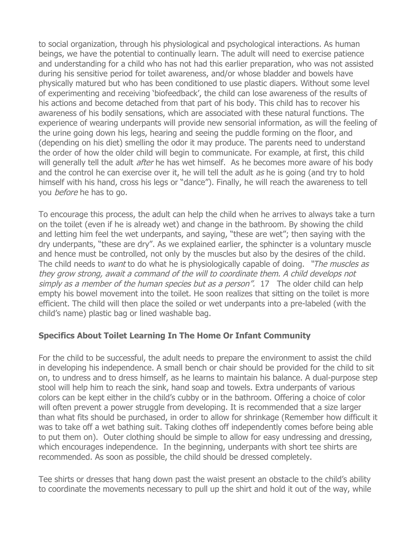to social organization, through his physiological and psychological interactions. As human beings, we have the potential to continually learn. The adult will need to exercise patience and understanding for a child who has not had this earlier preparation, who was not assisted during his sensitive period for toilet awareness, and/or whose bladder and bowels have physically matured but who has been conditioned to use plastic diapers. Without some level of experimenting and receiving 'biofeedback', the child can lose awareness of the results of his actions and become detached from that part of his body. This child has to recover his awareness of his bodily sensations, which are associated with these natural functions. The experience of wearing underpants will provide new sensorial information, as will the feeling of the urine going down his legs, hearing and seeing the puddle forming on the floor, and (depending on his diet) smelling the odor it may produce. The parents need to understand the order of how the older child will begin to communicate. For example, at first, this child will generally tell the adult *after* he has wet himself. As he becomes more aware of his body and the control he can exercise over it, he will tell the adult as he is going (and try to hold himself with his hand, cross his legs or "dance"). Finally, he will reach the awareness to tell you *before* he has to go.

To encourage this process, the adult can help the child when he arrives to always take a turn on the toilet (even if he is already wet) and change in the bathroom. By showing the child and letting him feel the wet underpants, and saying, "these are wet"; then saying with the dry underpants, "these are dry". As we explained earlier, the sphincter is a voluntary muscle and hence must be controlled, not only by the muscles but also by the desires of the child. The child needs to *want* to do what he is physiologically capable of doing. "The muscles as they grow strong, await a command of the will to coordinate them. A child develops not simply as a member of the human species but as a person". 17 The older child can help empty his bowel movement into the toilet. He soon realizes that sitting on the toilet is more efficient. The child will then place the soiled or wet underpants into a pre-labeled (with the child's name) plastic bag or lined washable bag.

#### **Specifics About Toilet Learning In The Home Or Infant Community**

For the child to be successful, the adult needs to prepare the environment to assist the child in developing his independence. A small bench or chair should be provided for the child to sit on, to undress and to dress himself, as he learns to maintain his balance. A dual-purpose step stool will help him to reach the sink, hand soap and towels. Extra underpants of various colors can be kept either in the child's cubby or in the bathroom. Offering a choice of color will often prevent a power struggle from developing. It is recommended that a size larger than what fits should be purchased, in order to allow for shrinkage (Remember how difficult it was to take off a wet bathing suit. Taking clothes off independently comes before being able to put them on). Outer clothing should be simple to allow for easy undressing and dressing, which encourages independence. In the beginning, underpants with short tee shirts are recommended. As soon as possible, the child should be dressed completely.

Tee shirts or dresses that hang down past the waist present an obstacle to the child's ability to coordinate the movements necessary to pull up the shirt and hold it out of the way, while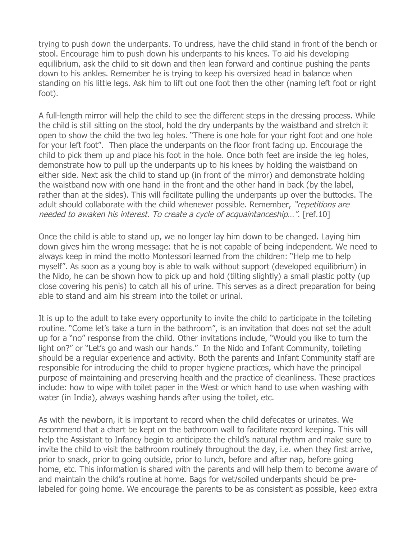trying to push down the underpants. To undress, have the child stand in front of the bench or stool. Encourage him to push down his underpants to his knees. To aid his developing equilibrium, ask the child to sit down and then lean forward and continue pushing the pants down to his ankles. Remember he is trying to keep his oversized head in balance when standing on his little legs. Ask him to lift out one foot then the other (naming left foot or right foot).

A full-length mirror will help the child to see the different steps in the dressing process. While the child is still sitting on the stool, hold the dry underpants by the waistband and stretch it open to show the child the two leg holes. "There is one hole for your right foot and one hole for your left foot". Then place the underpants on the floor front facing up. Encourage the child to pick them up and place his foot in the hole. Once both feet are inside the leg holes, demonstrate how to pull up the underpants up to his knees by holding the waistband on either side. Next ask the child to stand up (in front of the mirror) and demonstrate holding the waistband now with one hand in the front and the other hand in back (by the label, rather than at the sides). This will facilitate pulling the underpants up over the buttocks. The adult should collaborate with the child whenever possible. Remember, "repetitions are needed to awaken his interest. To create a cycle of acquaintanceship…". [ref.10]

Once the child is able to stand up, we no longer lay him down to be changed. Laying him down gives him the wrong message: that he is not capable of being independent. We need to always keep in mind the motto Montessori learned from the children: "Help me to help myself". As soon as a young boy is able to walk without support (developed equilibrium) in the Nido, he can be shown how to pick up and hold (tilting slightly) a small plastic potty (up close covering his penis) to catch all his of urine. This serves as a direct preparation for being able to stand and aim his stream into the toilet or urinal.

It is up to the adult to take every opportunity to invite the child to participate in the toileting routine. "Come let's take a turn in the bathroom", is an invitation that does not set the adult up for a "no" response from the child. Other invitations include, "Would you like to turn the light on?" or "Let's go and wash our hands." In the Nido and Infant Community, toileting should be a regular experience and activity. Both the parents and Infant Community staff are responsible for introducing the child to proper hygiene practices, which have the principal purpose of maintaining and preserving health and the practice of cleanliness. These practices include: how to wipe with toilet paper in the West or which hand to use when washing with water (in India), always washing hands after using the toilet, etc.

As with the newborn, it is important to record when the child defecates or urinates. We recommend that a chart be kept on the bathroom wall to facilitate record keeping. This will help the Assistant to Infancy begin to anticipate the child's natural rhythm and make sure to invite the child to visit the bathroom routinely throughout the day, i.e. when they first arrive, prior to snack, prior to going outside, prior to lunch, before and after nap, before going home, etc. This information is shared with the parents and will help them to become aware of and maintain the child's routine at home. Bags for wet/soiled underpants should be prelabeled for going home. We encourage the parents to be as consistent as possible, keep extra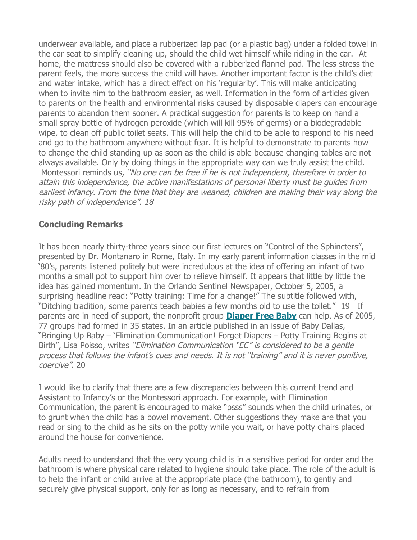underwear available, and place a rubberized lap pad (or a plastic bag) under a folded towel in the car seat to simplify cleaning up, should the child wet himself while riding in the car. At home, the mattress should also be covered with a rubberized flannel pad. The less stress the parent feels, the more success the child will have. Another important factor is the child's diet and water intake, which has a direct effect on his 'regularity'. This will make anticipating when to invite him to the bathroom easier, as well. Information in the form of articles given to parents on the health and environmental risks caused by disposable diapers can encourage parents to abandon them sooner. A practical suggestion for parents is to keep on hand a small spray bottle of hydrogen peroxide (which will kill 95% of germs) or a biodegradable wipe, to clean off public toilet seats. This will help the child to be able to respond to his need and go to the bathroom anywhere without fear. It is helpful to demonstrate to parents how to change the child standing up as soon as the child is able because changing tables are not always available. Only by doing things in the appropriate way can we truly assist the child. Montessori reminds us, "No one can be free if he is not independent, therefore in order to attain this independence, the active manifestations of personal liberty must be guides from earliest infancy. From the time that they are weaned, children are making their way along the risky path of independence". 18

# **Concluding Remarks**

It has been nearly thirty-three years since our first lectures on "Control of the Sphincters", presented by Dr. Montanaro in Rome, Italy. In my early parent information classes in the mid '80's, parents listened politely but were incredulous at the idea of offering an infant of two months a small pot to support him over to relieve himself. It appears that little by little the idea has gained momentum. In the Orlando Sentinel Newspaper, October 5, 2005, a surprising headline read: "Potty training: Time for a change!" The subtitle followed with, "Ditching tradition, some parents teach babies a few months old to use the toilet." 19 If parents are in need of support, the nonprofit group **[Diaper Free Baby](http://www.diaperfreebaby.org/)** can help. As of 2005, 77 groups had formed in 35 states. In an article published in an issue of Baby Dallas, "Bringing Up Baby – 'Elimination Communication! Forget Diapers – Potty Training Begins at Birth", Lisa Poisso, writes "Elimination Communication "EC" is considered to be a gentle process that follows the infant's cues and needs. It is not "training" and it is never punitive, coercive". 20

I would like to clarify that there are a few discrepancies between this current trend and Assistant to Infancy's or the Montessori approach. For example, with Elimination Communication, the parent is encouraged to make "psss" sounds when the child urinates, or to grunt when the child has a bowel movement. Other suggestions they make are that you read or sing to the child as he sits on the potty while you wait, or have potty chairs placed around the house for convenience.

Adults need to understand that the very young child is in a sensitive period for order and the bathroom is where physical care related to hygiene should take place. The role of the adult is to help the infant or child arrive at the appropriate place (the bathroom), to gently and securely give physical support, only for as long as necessary, and to refrain from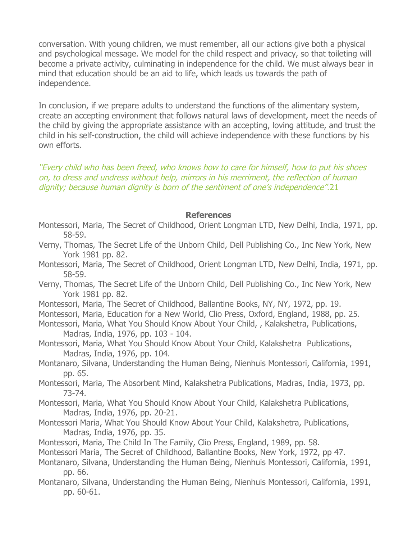conversation. With young children, we must remember, all our actions give both a physical and psychological message. We model for the child respect and privacy, so that toileting will become a private activity, culminating in independence for the child. We must always bear in mind that education should be an aid to life, which leads us towards the path of independence.

In conclusion, if we prepare adults to understand the functions of the alimentary system, create an accepting environment that follows natural laws of development, meet the needs of the child by giving the appropriate assistance with an accepting, loving attitude, and trust the child in his self-construction, the child will achieve independence with these functions by his own efforts.

"Every child who has been freed, who knows how to care for himself, how to put his shoes on, to dress and undress without help, mirrors in his merriment, the reflection of human dignity; because human dignity is born of the sentiment of one's independence".21

#### **References**

- Montessori, Maria, The Secret of Childhood, Orient Longman LTD, New Delhi, India, 1971, pp. 58-59.
- Verny, Thomas, The Secret Life of the Unborn Child, Dell Publishing Co., Inc New York, New York 1981 pp. 82.
- Montessori, Maria, The Secret of Childhood, Orient Longman LTD, New Delhi, India, 1971, pp. 58-59.
- Verny, Thomas, The Secret Life of the Unborn Child, Dell Publishing Co., Inc New York, New York 1981 pp. 82.
- Montessori, Maria, The Secret of Childhood, Ballantine Books, NY, NY, 1972, pp. 19.
- Montessori, Maria, Education for a New World, Clio Press, Oxford, England, 1988, pp. 25.
- Montessori, Maria, What You Should Know About Your Child, , Kalakshetra, Publications, Madras, India, 1976, pp. 103 - 104.
- Montessori, Maria, What You Should Know About Your Child, Kalakshetra Publications, Madras, India, 1976, pp. 104.
- Montanaro, Silvana, Understanding the Human Being, Nienhuis Montessori, California, 1991, pp. 65.
- Montessori, Maria, The Absorbent Mind, Kalakshetra Publications, Madras, India, 1973, pp. 73-74.
- Montessori, Maria, What You Should Know About Your Child, Kalakshetra Publications, Madras, India, 1976, pp. 20-21.
- Montessori Maria, What You Should Know About Your Child, Kalakshetra, Publications, Madras, India, 1976, pp. 35.
- Montessori, Maria, The Child In The Family, Clio Press, England, 1989, pp. 58.
- Montessori Maria, The Secret of Childhood, Ballantine Books, New York, 1972, pp 47.
- Montanaro, Silvana, Understanding the Human Being, Nienhuis Montessori, California, 1991, pp. 66.
- Montanaro, Silvana, Understanding the Human Being, Nienhuis Montessori, California, 1991, pp. 60-61.